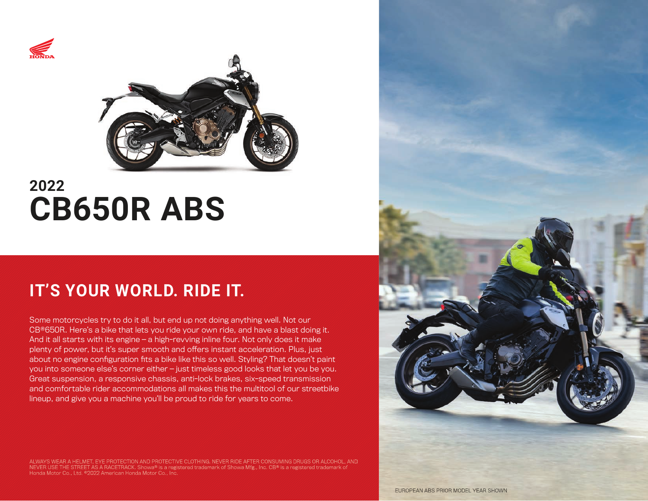



# **2022 CB650R ABS**

# **IT'S YOUR WORLD. RIDE IT.**

Some motorcycles try to do it all, but end up not doing anything well. Not our CB®650R. Here's a bike that lets you ride your own ride, and have a blast doing it. And it all starts with its engine — a high-revving inline four. Not only does it make plenty of power, but it's super smooth and offers instant acceleration. Plus, just about no engine configuration fits a bike like this so well. Styling? That doesn't paint you into someone else's corner either — just timeless good looks that let you be you. Great suspension, a responsive chassis, anti-lock brakes, six-speed transmission and comfortable rider accommodations all makes this the multitool of our streetbike lineup, and give you a machine you'll be proud to ride for years to come.

ALWAYS WEAR A HELMET, EYE PROTECTION AND PROTECTIVE CLOTHING. NEVER RIDE AFTER CONSUMING DRUGS OR ALCOHOL, AND<br>NEVER USE THE STREET AS A RACETRACK. Showa® is a registered trademark of Showa Mfg., Inc. CB® is a registered Honda Motor Co., Ltd. ©2022 American Honda Motor Co., Inc.